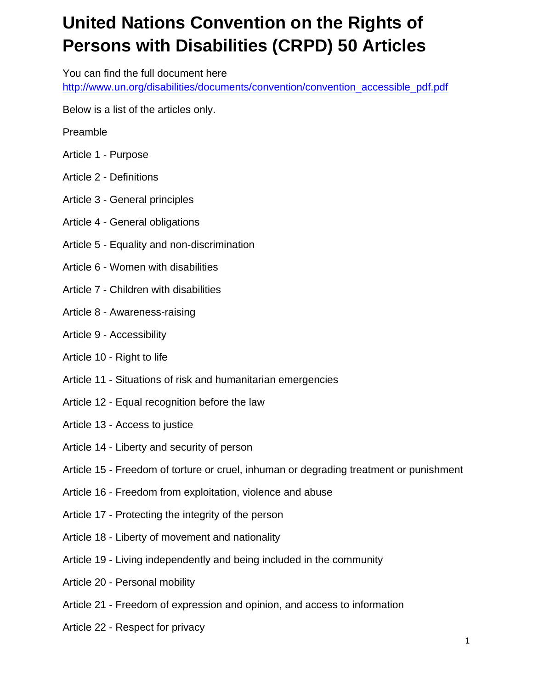## **United Nations Convention on the Rights of Persons with Disabilities (CRPD) 50 Articles**

You can find the full document here http://www.un.org/disabilities/documents/convention/convention\_accessible\_pdf.pdf

Below is a list of the articles only.

- Preamble
- Article 1 Purpose
- Article 2 Definitions
- Article 3 General principles
- Article 4 General obligations
- Article 5 Equality and non-discrimination
- Article 6 Women with disabilities
- Article 7 Children with disabilities
- Article 8 Awareness-raising
- Article 9 Accessibility
- Article 10 Right to life
- Article 11 Situations of risk and humanitarian emergencies
- Article 12 Equal recognition before the law
- Article 13 Access to justice
- Article 14 Liberty and security of person
- Article 15 Freedom of torture or cruel, inhuman or degrading treatment or punishment
- Article 16 Freedom from exploitation, violence and abuse
- Article 17 Protecting the integrity of the person
- Article 18 Liberty of movement and nationality
- Article 19 Living independently and being included in the community
- Article 20 Personal mobility
- Article 21 Freedom of expression and opinion, and access to information
- Article 22 Respect for privacy